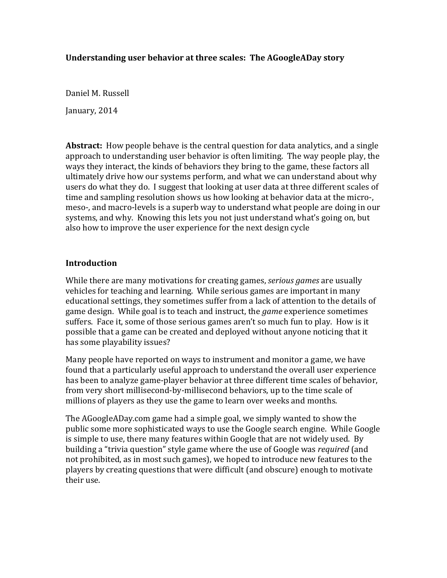### Understanding user behavior at three scales: The AGoogleADay story

Daniel M. Russell

January, 2014

**Abstract:** How people behave is the central question for data analytics, and a single approach to understanding user behavior is often limiting. The way people play, the ways they interact, the kinds of behaviors they bring to the game, these factors all ultimately drive how our systems perform, and what we can understand about why users do what they do. I suggest that looking at user data at three different scales of time and sampling resolution shows us how looking at behavior data at the micro-, meso-, and macro-levels is a superb way to understand what people are doing in our systems, and why. Knowing this lets you not just understand what's going on, but also how to improve the user experience for the next design cycle

### **Introduction**

While there are many motivations for creating games, *serious games* are usually vehicles for teaching and learning. While serious games are important in many educational settings, they sometimes suffer from a lack of attention to the details of game design. While goal is to teach and instruct, the *game* experience sometimes suffers. Face it, some of those serious games aren't so much fun to play. How is it possible that a game can be created and deployed without anyone noticing that it has some playability issues?

Many people have reported on ways to instrument and monitor a game, we have found that a particularly useful approach to understand the overall user experience has been to analyze game-player behavior at three different time scales of behavior, from very short millisecond-by-millisecond behaviors, up to the time scale of millions of players as they use the game to learn over weeks and months.

The AGoogleADay.com game had a simple goal, we simply wanted to show the public some more sophisticated ways to use the Google search engine. While Google is simple to use, there many features within Google that are not widely used. By building a "trivia question" style game where the use of Google was *required* (and not prohibited, as in most such games), we hoped to introduce new features to the players by creating questions that were difficult (and obscure) enough to motivate their use.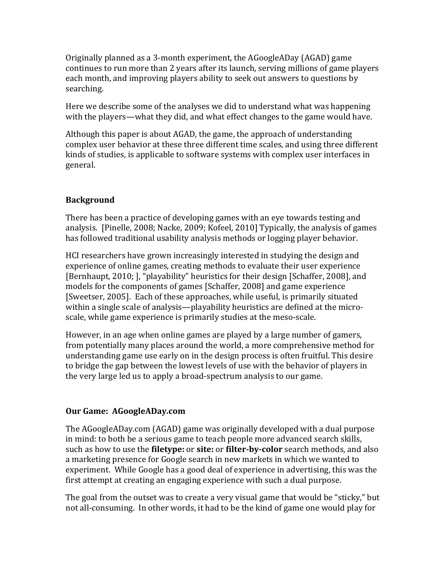Originally planned as a 3-month experiment, the AGoogleADay (AGAD) game continues to run more than 2 years after its launch, serving millions of game players each month, and improving players ability to seek out answers to questions by searching. 

Here we describe some of the analyses we did to understand what was happening with the players—what they did, and what effect changes to the game would have.

Although this paper is about  $AGAD$ , the game, the approach of understanding complex user behavior at these three different time scales, and using three different kinds of studies, is applicable to software systems with complex user interfaces in general. 

# **Background**

There has been a practice of developing games with an eve towards testing and analysis. [Pinelle, 2008; Nacke, 2009; Kofeel, 2010] Typically, the analysis of games has followed traditional usability analysis methods or logging player behavior.

HCI researchers have grown increasingly interested in studying the design and experience of online games, creating methods to evaluate their user experience [Bernhaupt, 2010; ], "playability" heuristics for their design [Schaffer, 2008], and models for the components of games [Schaffer, 2008] and game experience [Sweetser, 2005]. Each of these approaches, while useful, is primarily situated within a single scale of analysis—playability heuristics are defined at the microscale, while game experience is primarily studies at the meso-scale.

However, in an age when online games are played by a large number of gamers, from potentially many places around the world, a more comprehensive method for understanding game use early on in the design process is often fruitful. This desire to bridge the gap between the lowest levels of use with the behavior of players in the very large led us to apply a broad-spectrum analysis to our game.

### **Our Game: AGoogleADay.com**

The AGoogleADay.com (AGAD) game was originally developed with a dual purpose in mind: to both be a serious game to teach people more advanced search skills, such as how to use the **filetype:** or **site:** or **filter-by-color** search methods, and also a marketing presence for Google search in new markets in which we wanted to experiment. While Google has a good deal of experience in advertising, this was the first attempt at creating an engaging experience with such a dual purpose.

The goal from the outset was to create a very visual game that would be "sticky," but not all-consuming. In other words, it had to be the kind of game one would play for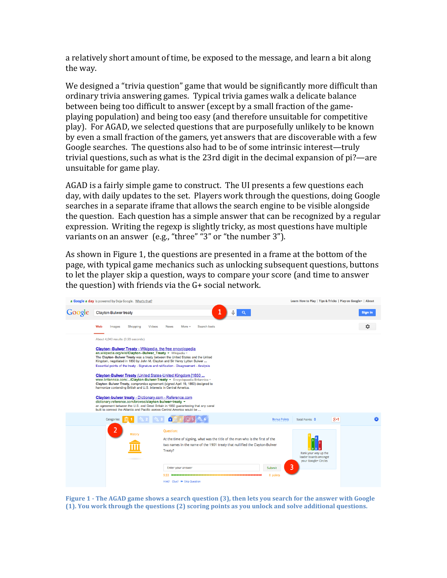a relatively short amount of time, be exposed to the message, and learn a bit along the way.

We designed a "trivia question" game that would be significantly more difficult than ordinary trivia answering games. Typical trivia games walk a delicate balance between being too difficult to answer (except by a small fraction of the gameplaying population) and being too easy (and therefore unsuitable for competitive play). For AGAD, we selected questions that are purposefully unlikely to be known by even a small fraction of the gamers, yet answers that are discoverable with a few Google searches. The questions also had to be of some intrinsic interest—truly trivial questions, such as what is the 23rd digit in the decimal expansion of  $pi$ ?—are unsuitable for game play.

AGAD is a fairly simple game to construct. The UI presents a few questions each day, with daily updates to the set. Players work through the questions, doing Google searches in a separate iframe that allows the search engine to be visible alongside the question. Each question has a simple answer that can be recognized by a regular expression. Writing the regexp is slightly tricky, as most questions have multiple variants on an answer  $(e.g., "three" "3" or "the number 3").$ 

As shown in Figure 1, the questions are presented in a frame at the bottom of the page, with typical game mechanics such as unlocking subsequent questions, buttons to let the player skip a question, ways to compare your score (and time to answer the question) with friends via the  $G+$  social network.



**Figure 1 -** The AGAD game shows a search question (3), then lets you search for the answer with Google **(1). You work through the questions (2) scoring points as you unlock and solve additional questions.**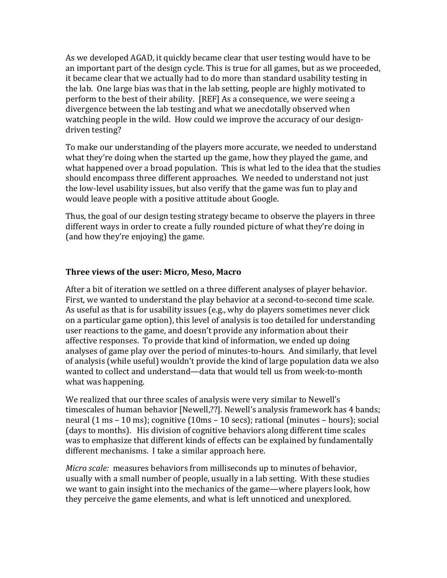As we developed AGAD, it quickly became clear that user testing would have to be an important part of the design cycle. This is true for all games, but as we proceeded, it became clear that we actually had to do more than standard usability testing in the lab. One large bias was that in the lab setting, people are highly motivated to perform to the best of their ability. [REF] As a consequence, we were seeing a divergence between the lab testing and what we anecdotally observed when watching people in the wild. How could we improve the accuracy of our designdriven testing?

To make our understanding of the players more accurate, we needed to understand what they're doing when the started up the game, how they played the game, and what happened over a broad population. This is what led to the idea that the studies should encompass three different approaches. We needed to understand not just the low-level usability issues, but also verify that the game was fun to play and would leave people with a positive attitude about Google.

Thus, the goal of our design testing strategy became to observe the players in three different ways in order to create a fully rounded picture of what they're doing in (and how they're enjoying) the game.

### **Three views of the user: Micro, Meso, Macro**

After a bit of iteration we settled on a three different analyses of player behavior. First, we wanted to understand the play behavior at a second-to-second time scale. As useful as that is for usability issues (e.g., why do players sometimes never click on a particular game option), this level of analysis is too detailed for understanding user reactions to the game, and doesn't provide any information about their affective responses. To provide that kind of information, we ended up doing analyses of game play over the period of minutes-to-hours. And similarly, that level of analysis (while useful) wouldn't provide the kind of large population data we also wanted to collect and understand—data that would tell us from week-to-month what was happening.

We realized that our three scales of analysis were very similar to Newell's timescales of human behavior [Newell,??]. Newell's analysis framework has 4 bands; neural  $(1 \text{ ms} - 10 \text{ ms})$ ; cognitive  $(10 \text{ ms} - 10 \text{ secs})$ ; rational  $(\text{minutes} - \text{hours})$ ; social (days to months). His division of cognitive behaviors along different time scales was to emphasize that different kinds of effects can be explained by fundamentally different mechanisms. I take a similar approach here.

*Micro scale:* measures behaviors from milliseconds up to minutes of behavior, usually with a small number of people, usually in a lab setting. With these studies we want to gain insight into the mechanics of the game—where players look, how they perceive the game elements, and what is left unnoticed and unexplored.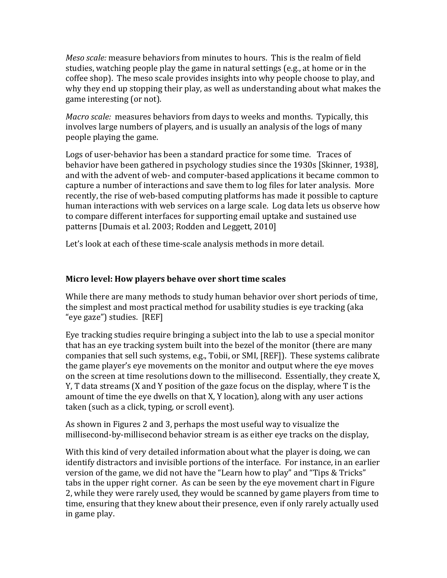*Meso scale:* measure behaviors from minutes to hours. This is the realm of field studies, watching people play the game in natural settings (e.g., at home or in the coffee shop). The meso scale provides insights into why people choose to play, and why they end up stopping their play, as well as understanding about what makes the game interesting (or not).

*Macro scale:* measures behaviors from days to weeks and months. Typically, this involves large numbers of players, and is usually an analysis of the logs of many people playing the game.

Logs of user-behavior has been a standard practice for some time. Traces of behavior have been gathered in psychology studies since the 1930s [Skinner, 1938], and with the advent of web- and computer-based applications it became common to capture a number of interactions and save them to log files for later analysis. More recently, the rise of web-based computing platforms has made it possible to capture human interactions with web services on a large scale. Log data lets us observe how to compare different interfaces for supporting email uptake and sustained use patterns [Dumais et al. 2003; Rodden and Leggett, 2010]

Let's look at each of these time-scale analysis methods in more detail.

# **Micro level: How players behave over short time scales**

While there are many methods to study human behavior over short periods of time, the simplest and most practical method for usability studies is eye tracking (aka "eye gaze") studies. [REF]

Eye tracking studies require bringing a subject into the lab to use a special monitor that has an eye tracking system built into the bezel of the monitor (there are many companies that sell such systems, e.g., Tobii, or SMI, [REF]). These systems calibrate the game player's eye movements on the monitor and output where the eye moves on the screen at time resolutions down to the millisecond. Essentially, they create X, Y, T data streams  $(X \text{ and } Y \text{ position of the gaze focus on the display, where T is the$ amount of time the eye dwells on that  $X$ ,  $Y$  location), along with any user actions taken (such as a click, typing, or scroll event).

As shown in Figures 2 and 3, perhaps the most useful way to visualize the millisecond-by-millisecond behavior stream is as either eye tracks on the display,

With this kind of very detailed information about what the player is doing, we can identify distractors and invisible portions of the interface. For instance, in an earlier version of the game, we did not have the "Learn how to play" and "Tips & Tricks" tabs in the upper right corner. As can be seen by the eye movement chart in Figure 2, while they were rarely used, they would be scanned by game players from time to time, ensuring that they knew about their presence, even if only rarely actually used in game play.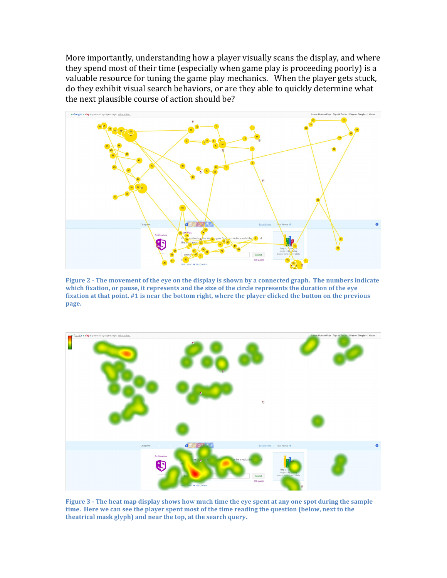More importantly, understanding how a player visually scans the display, and where they spend most of their time (especially when game play is proceeding poorly) is a valuable resource for tuning the game play mechanics. When the player gets stuck, do they exhibit visual search behaviors, or are they able to quickly determine what the next plausible course of action should be?



**Figure 2** - The movement of the eye on the display is shown by a connected graph. The numbers indicate which fixation, or pause, it represents and the size of the circle represents the duration of the eye fixation at that point. #1 is near the bottom right, where the player clicked the button on the previous **page.**



Figure 3 - The heat map display shows how much time the eye spent at any one spot during the sample time. Here we can see the player spent most of the time reading the question (below, next to the theatrical mask glyph) and near the top, at the search query.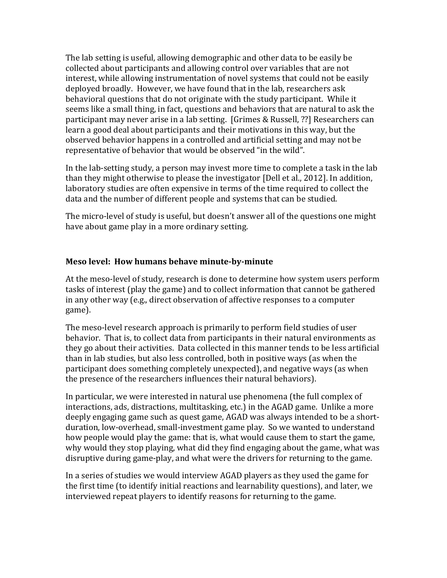The lab setting is useful, allowing demographic and other data to be easily be collected about participants and allowing control over variables that are not interest, while allowing instrumentation of novel systems that could not be easily deployed broadly. However, we have found that in the lab, researchers ask behavioral questions that do not originate with the study participant. While it seems like a small thing, in fact, questions and behaviors that are natural to ask the participant may never arise in a lab setting. [Grimes & Russell, ??] Researchers can learn a good deal about participants and their motivations in this way, but the observed behavior happens in a controlled and artificial setting and may not be representative of behavior that would be observed "in the wild".

In the lab-setting study, a person may invest more time to complete a task in the lab than they might otherwise to please the investigator [Dell et al., 2012]. In addition, laboratory studies are often expensive in terms of the time required to collect the data and the number of different people and systems that can be studied.

The micro-level of study is useful, but doesn't answer all of the questions one might have about game play in a more ordinary setting.

### Meso level: How humans behave minute-by-minute

At the meso-level of study, research is done to determine how system users perform tasks of interest (play the game) and to collect information that cannot be gathered in any other way  $(e.g.,$  direct observation of affective responses to a computer game). 

The meso-level research approach is primarily to perform field studies of user behavior. That is, to collect data from participants in their natural environments as they go about their activities. Data collected in this manner tends to be less artificial than in lab studies, but also less controlled, both in positive ways (as when the participant does something completely unexpected), and negative ways (as when the presence of the researchers influences their natural behaviors).

In particular, we were interested in natural use phenomena (the full complex of interactions, ads, distractions, multitasking, etc.) in the AGAD game. Unlike a more deeply engaging game such as quest game, AGAD was always intended to be a shortduration, low-overhead, small-investment game play. So we wanted to understand how people would play the game: that is, what would cause them to start the game, why would they stop playing, what did they find engaging about the game, what was disruptive during game-play, and what were the drivers for returning to the game.

In a series of studies we would interview AGAD players as they used the game for the first time (to identify initial reactions and learnability questions), and later, we interviewed repeat players to identify reasons for returning to the game.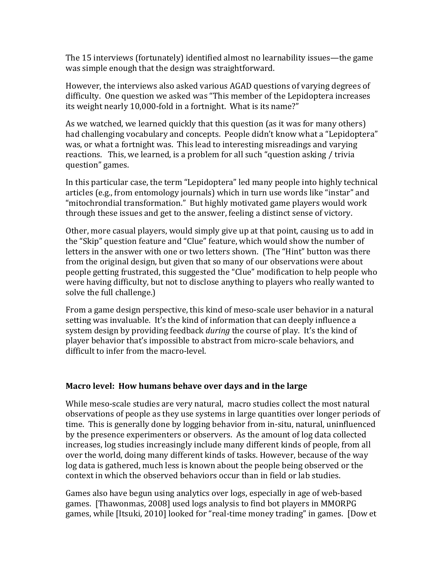The 15 interviews (fortunately) identified almost no learnability issues—the game was simple enough that the design was straightforward.

However, the interviews also asked various AGAD questions of varying degrees of difficulty. One question we asked was "This member of the Lepidoptera increases its weight nearly 10,000-fold in a fortnight. What is its name?"

As we watched, we learned quickly that this question (as it was for many others) had challenging vocabulary and concepts. People didn't know what a "Lepidoptera" was, or what a fortnight was. This lead to interesting misreadings and varying reactions. This, we learned, is a problem for all such "question asking / trivia question" games.

In this particular case, the term "Lepidoptera" led many people into highly technical articles (e.g., from entomology journals) which in turn use words like "instar" and "mitochrondial transformation." But highly motivated game players would work through these issues and get to the answer, feeling a distinct sense of victory.

Other, more casual players, would simply give up at that point, causing us to add in the "Skip" question feature and "Clue" feature, which would show the number of letters in the answer with one or two letters shown. (The "Hint" button was there from the original design, but given that so many of our observations were about people getting frustrated, this suggested the "Clue" modification to help people who were having difficulty, but not to disclose anything to players who really wanted to solve the full challenge.)

From a game design perspective, this kind of meso-scale user behavior in a natural setting was invaluable. It's the kind of information that can deeply influence a system design by providing feedback *during* the course of play. It's the kind of player behavior that's impossible to abstract from micro-scale behaviors, and difficult to infer from the macro-level.

### **Macro level: How humans behave over days and in the large**

While meso-scale studies are very natural, macro studies collect the most natural observations of people as they use systems in large quantities over longer periods of time. This is generally done by logging behavior from in-situ, natural, uninfluenced by the presence experimenters or observers. As the amount of log data collected increases, log studies increasingly include many different kinds of people, from all over the world, doing many different kinds of tasks. However, because of the way log data is gathered, much less is known about the people being observed or the context in which the observed behaviors occur than in field or lab studies.

Games also have begun using analytics over logs, especially in age of web-based games. [Thawonmas, 2008] used logs analysis to find bot players in MMORPG games, while [Itsuki, 2010] looked for "real-time money trading" in games. [Dow et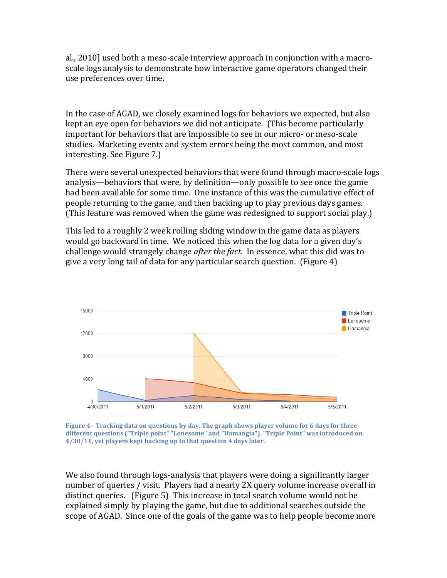al., 2010] used both a meso-scale interview approach in conjunction with a macroscale logs analysis to demonstrate how interactive game operators changed their use preferences over time.

In the case of AGAD, we closely examined logs for behaviors we expected, but also kept an eye open for behaviors we did not anticipate. (This become particularly important for behaviors that are impossible to see in our micro- or meso-scale studies. Marketing events and system errors being the most common, and most interesting. See Figure 7.)

There were several unexpected behaviors that were found through macro-scale logs analysis—behaviors that were, by definition—only possible to see once the game had been available for some time. One instance of this was the cumulative effect of people returning to the game, and then backing up to play previous days games. (This feature was removed when the game was redesigned to support social play.)

This led to a roughly 2 week rolling sliding window in the game data as players would go backward in time. We noticed this when the log data for a given day's challenge would strangely change *after the fact*. In essence, what this did was to give a very long tail of data for any particular search question. (Figure  $4$ )



**Figure 4 - Tracking data on questions by day. The graph shows player volume for 6 days for three** different questions ("Triple point" "Lonesome" and "Hamangia"). "Triple Point" was introduced on 4/30/11, yet players kept backing up to that question 4 days later.

We also found through logs-analysis that players were doing a significantly larger number of queries / visit. Players had a nearly 2X query volume increase overall in distinct queries. (Figure 5) This increase in total search volume would not be explained simply by playing the game, but due to additional searches outside the scope of AGAD. Since one of the goals of the game was to help people become more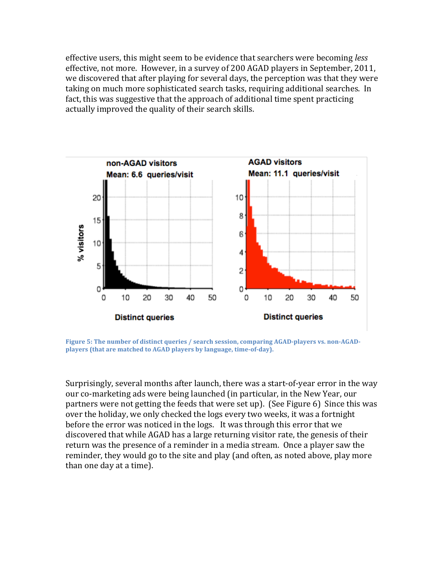effective users, this might seem to be evidence that searchers were becoming *less* effective, not more. However, in a survey of 200 AGAD players in September, 2011, we discovered that after playing for several days, the perception was that they were taking on much more sophisticated search tasks, requiring additional searches. In fact, this was suggestive that the approach of additional time spent practicing actually improved the quality of their search skills.



Figure 5: The number of distinct queries / search session, comparing AGAD-players vs. non-AGADplayers (that are matched to AGAD players by language, time-of-day).

Surprisingly, several months after launch, there was a start-of-year error in the way our co-marketing ads were being launched (in particular, in the New Year, our partners were not getting the feeds that were set up). (See Figure 6) Since this was over the holiday, we only checked the logs every two weeks, it was a fortnight before the error was noticed in the logs. It was through this error that we discovered that while AGAD has a large returning visitor rate, the genesis of their return was the presence of a reminder in a media stream. Once a player saw the reminder, they would go to the site and play (and often, as noted above, play more than one day at a time).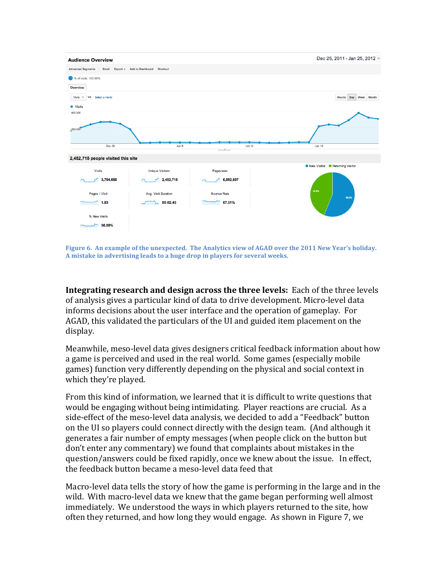

Figure 6. An example of the unexpected. The Analytics view of AGAD over the 2011 New Year's holiday. A mistake in advertising leads to a huge drop in players for several weeks.

**Integrating research and design across the three levels:** Each of the three levels of analysis gives a particular kind of data to drive development. Micro-level data informs decisions about the user interface and the operation of gameplay. For AGAD, this validated the particulars of the UI and guided item placement on the display. 

Meanwhile, meso-level data gives designers critical feedback information about how a game is perceived and used in the real world. Some games (especially mobile games) function very differently depending on the physical and social context in which they're played.

From this kind of information, we learned that it is difficult to write questions that would be engaging without being intimidating. Player reactions are crucial. As a side-effect of the meso-level data analysis, we decided to add a "Feedback" button on the UI so players could connect directly with the design team. (And although it generates a fair number of empty messages (when people click on the button but don't enter any commentary) we found that complaints about mistakes in the question/answers could be fixed rapidly, once we knew about the issue. In effect, the feedback button became a meso-level data feed that

Macro-level data tells the story of how the game is performing in the large and in the wild. With macro-level data we knew that the game began performing well almost immediately. We understood the ways in which players returned to the site, how often they returned, and how long they would engage. As shown in Figure 7, we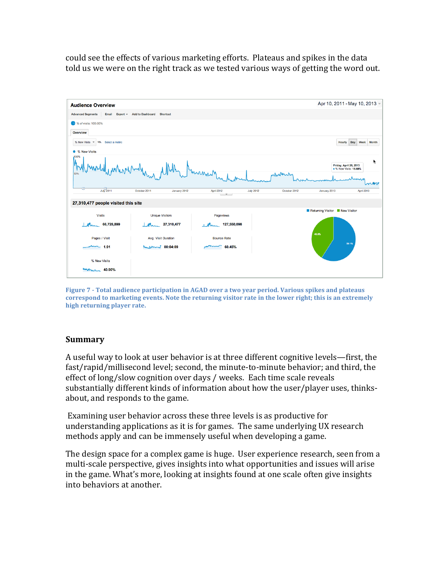could see the effects of various marketing efforts. Plateaus and spikes in the data told us we were on the right track as we tested various ways of getting the word out.



**Figure 7 - Total audience participation in AGAD over a two year period. Various spikes and plateaus** correspond to marketing events. Note the returning visitor rate in the lower right; this is an extremely **high returning player rate.**

### **Summary**

A useful way to look at user behavior is at three different cognitive levels—first, the fast/rapid/millisecond level; second, the minute-to-minute behavior; and third, the effect of long/slow cognition over days / weeks. Each time scale reveals substantially different kinds of information about how the user/player uses, thinksabout, and responds to the game.

Examining user behavior across these three levels is as productive for understanding applications as it is for games. The same underlying UX research methods apply and can be immensely useful when developing a game.

The design space for a complex game is huge. User experience research, seen from a multi-scale perspective, gives insights into what opportunities and issues will arise in the game. What's more, looking at insights found at one scale often give insights into behaviors at another.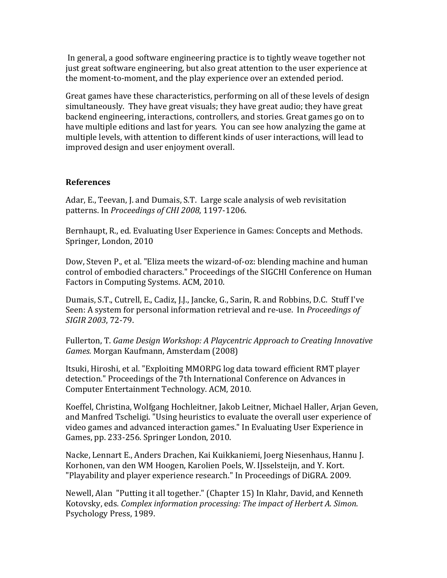In general, a good software engineering practice is to tightly weave together not just great software engineering, but also great attention to the user experience at the moment-to-moment, and the play experience over an extended period.

Great games have these characteristics, performing on all of these levels of design simultaneously. They have great visuals; they have great audio; they have great backend engineering, interactions, controllers, and stories. Great games go on to have multiple editions and last for years. You can see how analyzing the game at multiple levels, with attention to different kinds of user interactions, will lead to improved design and user enjoyment overall.

#### **References**

Adar, E., Teevan, J. and Dumais, S.T. Large scale analysis of web revisitation patterns. In *Proceedings of CHI 2008*, 1197-1206.

Bernhaupt, R., ed. Evaluating User Experience in Games: Concepts and Methods. Springer, London, 2010

Dow, Steven P., et al. "Eliza meets the wizard-of-oz: blending machine and human control of embodied characters." Proceedings of the SIGCHI Conference on Human Factors in Computing Systems. ACM, 2010.

Dumais, S.T., Cutrell, E., Cadiz, J.J., Jancke, G., Sarin, R. and Robbins, D.C. Stuff I've Seen: A system for personal information retrieval and re-use. In *Proceedings of SIGIR 2003*, 72-79.

Fullerton, T. Game Design Workshop: A Playcentric Approach to Creating Innovative *Games.* Morgan Kaufmann, Amsterdam (2008)

Itsuki, Hiroshi, et al. "Exploiting MMORPG log data toward efficient RMT player detection." Proceedings of the 7th International Conference on Advances in Computer Entertainment Technology. ACM, 2010.

Koeffel, Christina, Wolfgang Hochleitner, Jakob Leitner, Michael Haller, Arjan Geven, and Manfred Tscheligi. "Using heuristics to evaluate the overall user experience of video games and advanced interaction games." In Evaluating User Experience in Games, pp. 233-256. Springer London, 2010.

Nacke, Lennart E., Anders Drachen, Kai Kuikkaniemi, Joerg Niesenhaus, Hannu J. Korhonen, van den WM Hoogen, Karolien Poels, W. IJsselsteijn, and Y. Kort. "Playability and player experience research." In Proceedings of DiGRA. 2009.

Newell, Alan "Putting it all together." (Chapter 15) In Klahr, David, and Kenneth Kotovsky, eds. *Complex information processing: The impact of Herbert A. Simon.* Psychology Press, 1989.